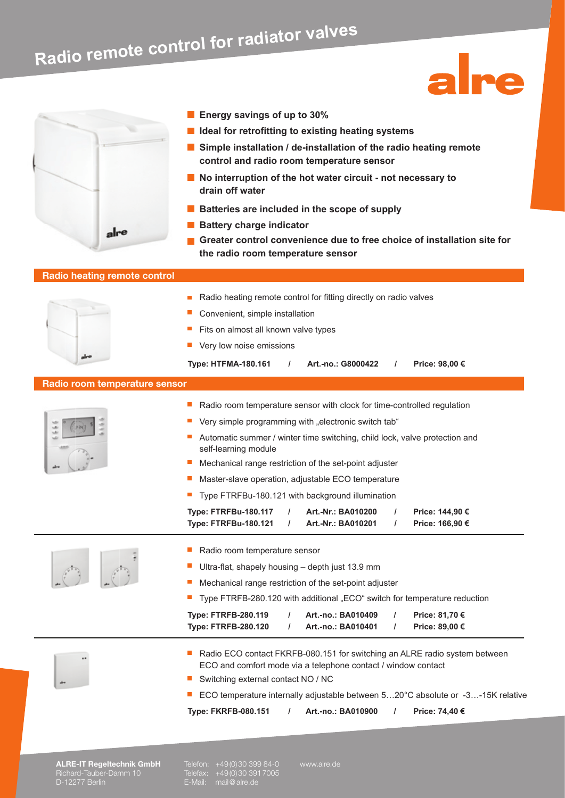# **Radio remote control for radiator valves**



- **Energy savings of up to 30%**
- **I** Ideal for retrofitting to existing heating systems
- **Simple installation / de-installation of the radio heating remote control and radio room temperature sensor**

Ine

- No interruption of the hot water circuit not necessary to **drain off water**
- **Batteries are included in the scope of supply**
- **Battery charge indicator**
- **Greater control convenience due to free choice of installation site for the radio room temperature sensor**

# **Radio heating remote control**

|                                  | Radio heating remote control for fitting directly on radio valves                                                                                                                            |
|----------------------------------|----------------------------------------------------------------------------------------------------------------------------------------------------------------------------------------------|
|                                  | Convenient, simple installation                                                                                                                                                              |
|                                  | Fits on almost all known valve types                                                                                                                                                         |
|                                  | Very low noise emissions                                                                                                                                                                     |
|                                  | <b>Type: HTFMA-180.161</b><br>Art.-no.: G8000422<br>Price: 98,00 €<br>$\prime$<br>$\prime$                                                                                                   |
| Radio room temperature sensor    |                                                                                                                                                                                              |
|                                  | ш<br>Radio room temperature sensor with clock for time-controlled regulation                                                                                                                 |
|                                  | Very simple programming with "electronic switch tab"                                                                                                                                         |
|                                  | Automatic summer / winter time switching, child lock, valve protection and<br>self-learning module                                                                                           |
|                                  | Mechanical range restriction of the set-point adjuster                                                                                                                                       |
|                                  | Master-slave operation, adjustable ECO temperature                                                                                                                                           |
|                                  | Type FTRFBu-180.121 with background illumination                                                                                                                                             |
|                                  | <b>Type: FTRFBu-180.117</b><br>Art.-Nr.: BA010200<br>$\prime$<br>Price: 144,90 €<br>$\prime$<br><b>Type: FTRFBu-180.121</b><br>Art.-Nr.: BA010201<br>$\prime$<br>Price: 166,90 €<br>$\prime$ |
|                                  | Radio room temperature sensor                                                                                                                                                                |
|                                  | Ultra-flat, shapely housing - depth just 13.9 mm                                                                                                                                             |
|                                  | Mechanical range restriction of the set-point adjuster                                                                                                                                       |
|                                  | Type FTRFB-280.120 with additional "ECO" switch for temperature reduction                                                                                                                    |
|                                  | <b>Type: FTRFB-280.119</b><br>Art.-no.: BA010409<br>$\prime$<br>Price: 81,70 €                                                                                                               |
|                                  | <b>Type: FTRFB-280.120</b><br>Art.-no.: BA010401<br>Price: 89,00 €<br>$\prime$<br>I                                                                                                          |
|                                  | Radio ECO contact FKRFB-080.151 for switching an ALRE radio system between<br>ш<br>ECO and comfort mode via a telephone contact / window contact                                             |
|                                  | Switching external contact NO / NC                                                                                                                                                           |
|                                  | ECO temperature internally adjustable between 520°C absolute or -3-15K relative                                                                                                              |
|                                  | <b>Type: FKRFB-080.151</b><br>Art.-no.: BA010900<br>Price: 74,40 €<br>$\prime$                                                                                                               |
|                                  |                                                                                                                                                                                              |
|                                  |                                                                                                                                                                                              |
| <b>ALRE-IT Regeltechnik GmbH</b> | Telefon: +49(0)30 399 84-0<br>www.alre.de                                                                                                                                                    |

Richard-Tauber-Damm 10 Telefax: +49 (0) 30 391 7005 D-12277 Berlin E-Mail: mail @ alre.de